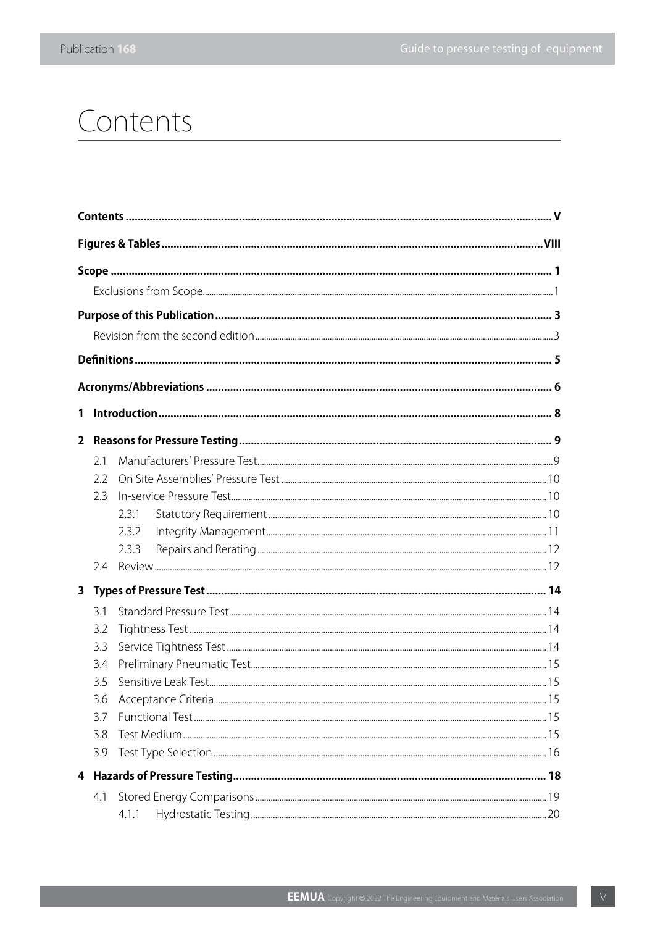## Contents

| 1              |     |       |  |  |
|----------------|-----|-------|--|--|
| $\overline{2}$ |     |       |  |  |
|                | 2.1 |       |  |  |
|                | 2.2 |       |  |  |
|                | 2.3 |       |  |  |
|                |     | 2.3.1 |  |  |
|                |     | 2.3.2 |  |  |
|                |     | 2.3.3 |  |  |
|                | 2.4 |       |  |  |
| $\mathbf{3}$   |     |       |  |  |
|                | 3.1 |       |  |  |
|                | 3.2 |       |  |  |
|                | 3.3 |       |  |  |
|                | 3.4 |       |  |  |
|                | 3.5 |       |  |  |
|                | 3.6 |       |  |  |
|                | 3.7 |       |  |  |
|                | 3.8 |       |  |  |
|                | 3.9 |       |  |  |
| 4              |     |       |  |  |
|                | 4.1 |       |  |  |
|                |     | 4.1.1 |  |  |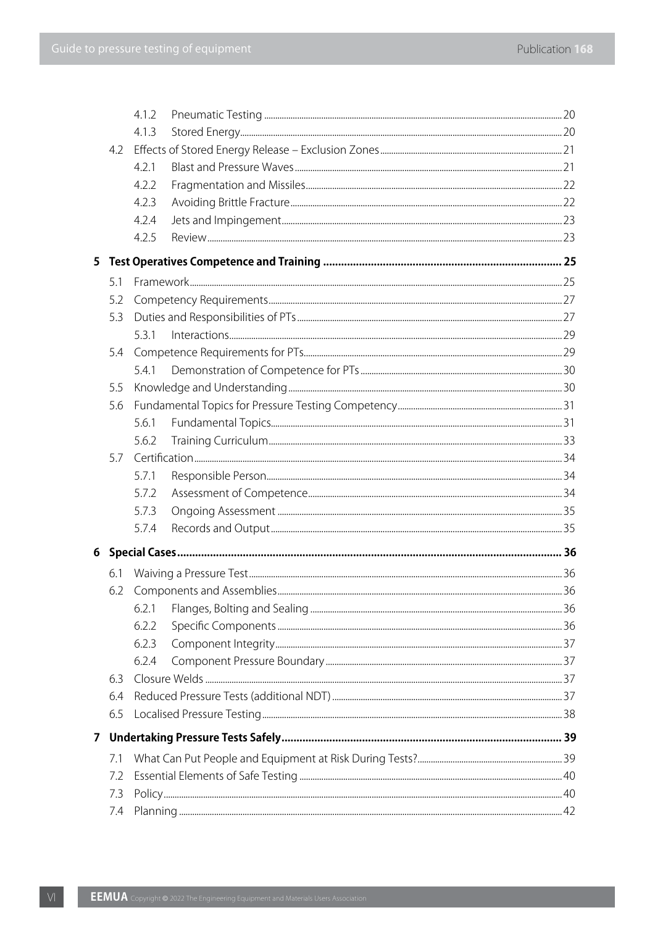|   |     | 4.1.2 |  |  |  |  |  |
|---|-----|-------|--|--|--|--|--|
|   |     | 4.1.3 |  |  |  |  |  |
|   | 4.2 |       |  |  |  |  |  |
|   |     | 4.2.1 |  |  |  |  |  |
|   |     | 4.2.2 |  |  |  |  |  |
|   |     | 4.2.3 |  |  |  |  |  |
|   |     | 4.2.4 |  |  |  |  |  |
|   |     | 4.2.5 |  |  |  |  |  |
| 5 |     |       |  |  |  |  |  |
|   | 5.1 |       |  |  |  |  |  |
|   | 5.2 |       |  |  |  |  |  |
|   | 5.3 |       |  |  |  |  |  |
|   |     | 5.3.1 |  |  |  |  |  |
|   | 5.4 |       |  |  |  |  |  |
|   |     | 5.4.1 |  |  |  |  |  |
|   | 5.5 |       |  |  |  |  |  |
|   | 5.6 |       |  |  |  |  |  |
|   |     | 5.6.1 |  |  |  |  |  |
|   |     | 5.6.2 |  |  |  |  |  |
|   | 5.7 |       |  |  |  |  |  |
|   |     | 5.7.1 |  |  |  |  |  |
|   |     | 5.7.2 |  |  |  |  |  |
|   |     | 5.7.3 |  |  |  |  |  |
|   |     | 5.7.4 |  |  |  |  |  |
|   |     |       |  |  |  |  |  |
|   | 6.1 |       |  |  |  |  |  |
|   | 6.2 |       |  |  |  |  |  |
|   |     | 6.2.1 |  |  |  |  |  |
|   |     | 6.2.2 |  |  |  |  |  |
|   |     | 6.2.3 |  |  |  |  |  |
|   |     | 6.2.4 |  |  |  |  |  |
|   | 6.3 |       |  |  |  |  |  |
|   | 6.4 |       |  |  |  |  |  |
|   | 6.5 |       |  |  |  |  |  |
|   |     |       |  |  |  |  |  |
|   | 7.1 |       |  |  |  |  |  |
|   | 7.2 |       |  |  |  |  |  |
|   | 7.3 |       |  |  |  |  |  |
|   | 7.4 |       |  |  |  |  |  |
|   |     |       |  |  |  |  |  |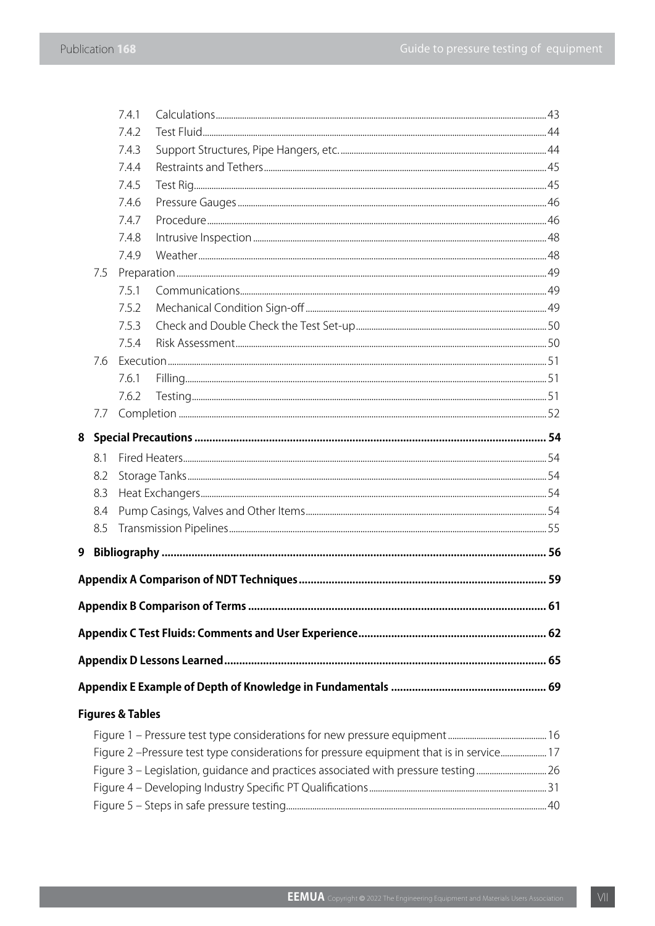|                                                                                          |     | 7.4.1                       |                                                                                   |  |  |
|------------------------------------------------------------------------------------------|-----|-----------------------------|-----------------------------------------------------------------------------------|--|--|
|                                                                                          |     | 7.4.2                       |                                                                                   |  |  |
|                                                                                          |     | 7.4.3                       |                                                                                   |  |  |
|                                                                                          |     | 7.4.4                       |                                                                                   |  |  |
|                                                                                          |     | 7.4.5                       |                                                                                   |  |  |
|                                                                                          |     | 7.4.6                       |                                                                                   |  |  |
|                                                                                          |     | 7.4.7                       |                                                                                   |  |  |
|                                                                                          |     | 7.4.8                       |                                                                                   |  |  |
|                                                                                          |     | 7.4.9                       |                                                                                   |  |  |
|                                                                                          | 7.5 |                             |                                                                                   |  |  |
|                                                                                          |     | 7.5.1                       |                                                                                   |  |  |
|                                                                                          |     | 7.5.2                       |                                                                                   |  |  |
|                                                                                          |     | 7.5.3                       |                                                                                   |  |  |
|                                                                                          |     | 7.5.4                       |                                                                                   |  |  |
|                                                                                          | 7.6 |                             |                                                                                   |  |  |
|                                                                                          |     | 7.6.1                       |                                                                                   |  |  |
|                                                                                          |     | 7.6.2                       |                                                                                   |  |  |
|                                                                                          | 7.7 |                             |                                                                                   |  |  |
|                                                                                          |     |                             |                                                                                   |  |  |
|                                                                                          | 8.1 |                             |                                                                                   |  |  |
|                                                                                          | 8.2 |                             |                                                                                   |  |  |
|                                                                                          | 8.3 |                             |                                                                                   |  |  |
|                                                                                          | 8.4 |                             |                                                                                   |  |  |
|                                                                                          | 8.5 |                             |                                                                                   |  |  |
| 9                                                                                        |     |                             |                                                                                   |  |  |
|                                                                                          |     |                             |                                                                                   |  |  |
|                                                                                          |     |                             |                                                                                   |  |  |
|                                                                                          |     |                             |                                                                                   |  |  |
|                                                                                          |     |                             |                                                                                   |  |  |
|                                                                                          |     |                             |                                                                                   |  |  |
|                                                                                          |     |                             |                                                                                   |  |  |
|                                                                                          |     | <b>Figures &amp; Tables</b> |                                                                                   |  |  |
|                                                                                          |     |                             |                                                                                   |  |  |
| Figure 2 -Pressure test type considerations for pressure equipment that is in service 17 |     |                             |                                                                                   |  |  |
|                                                                                          |     |                             | Figure 3 – Legislation, guidance and practices associated with pressure testing26 |  |  |
|                                                                                          |     |                             |                                                                                   |  |  |
|                                                                                          |     |                             |                                                                                   |  |  |
|                                                                                          |     |                             |                                                                                   |  |  |